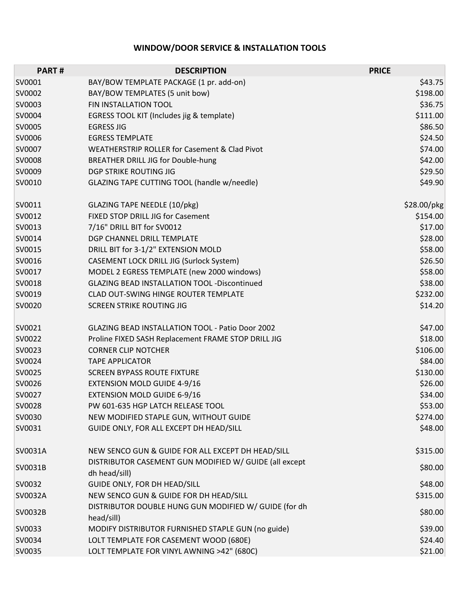## **WINDOW/DOOR SERVICE & INSTALLATION TOOLS**

| <b>PART#</b> | <b>DESCRIPTION</b>                                                      | <b>PRICE</b> |
|--------------|-------------------------------------------------------------------------|--------------|
| SV0001       | BAY/BOW TEMPLATE PACKAGE (1 pr. add-on)                                 | \$43.75      |
| SV0002       | BAY/BOW TEMPLATES (5 unit bow)                                          | \$198.00     |
| SV0003       | FIN INSTALLATION TOOL                                                   | \$36.75      |
| SV0004       | EGRESS TOOL KIT (Includes jig & template)                               | \$111.00     |
| SV0005       | <b>EGRESS JIG</b>                                                       | \$86.50      |
| SV0006       | <b>EGRESS TEMPLATE</b>                                                  | \$24.50      |
| SV0007       | <b>WEATHERSTRIP ROLLER for Casement &amp; Clad Pivot</b>                | \$74.00      |
| SV0008       | BREATHER DRILL JIG for Double-hung                                      | \$42.00      |
| SV0009       | DGP STRIKE ROUTING JIG                                                  | \$29.50      |
| SV0010       | GLAZING TAPE CUTTING TOOL (handle w/needle)                             | \$49.90      |
| SV0011       | GLAZING TAPE NEEDLE (10/pkg)                                            | \$28.00/pkg  |
| SV0012       | FIXED STOP DRILL JIG for Casement                                       | \$154.00     |
| SV0013       | 7/16" DRILL BIT for SV0012                                              | \$17.00      |
| SV0014       | DGP CHANNEL DRILL TEMPLATE                                              | \$28.00      |
| SV0015       | DRILL BIT for 3-1/2" EXTENSION MOLD                                     | \$58.00      |
| SV0016       | CASEMENT LOCK DRILL JIG (Surlock System)                                | \$26.50      |
| SV0017       | MODEL 2 EGRESS TEMPLATE (new 2000 windows)                              | \$58.00      |
| SV0018       | <b>GLAZING BEAD INSTALLATION TOOL -Discontinued</b>                     | \$38.00      |
| SV0019       | CLAD OUT-SWING HINGE ROUTER TEMPLATE                                    | \$232.00     |
| SV0020       | <b>SCREEN STRIKE ROUTING JIG</b>                                        | \$14.20      |
| SV0021       | <b>GLAZING BEAD INSTALLATION TOOL - Patio Door 2002</b>                 | \$47.00      |
| SV0022       | Proline FIXED SASH Replacement FRAME STOP DRILL JIG                     | \$18.00      |
| SV0023       | <b>CORNER CLIP NOTCHER</b>                                              | \$106.00     |
| SV0024       | <b>TAPE APPLICATOR</b>                                                  | \$84.00      |
| SV0025       | <b>SCREEN BYPASS ROUTE FIXTURE</b>                                      | \$130.00     |
| SV0026       | <b>EXTENSION MOLD GUIDE 4-9/16</b>                                      | \$26.00      |
| SV0027       | <b>EXTENSION MOLD GUIDE 6-9/16</b>                                      | \$34.00      |
| SV0028       | PW 601-635 HGP LATCH RELEASE TOOL                                       | \$53.00      |
| SV0030       | NEW MODIFIED STAPLE GUN, WITHOUT GUIDE                                  | \$274.00     |
| SV0031       | GUIDE ONLY, FOR ALL EXCEPT DH HEAD/SILL                                 | \$48.00      |
| SV0031A      | NEW SENCO GUN & GUIDE FOR ALL EXCEPT DH HEAD/SILL                       | \$315.00     |
| SV0031B      | DISTRIBUTOR CASEMENT GUN MODIFIED W/ GUIDE (all except<br>dh head/sill) | \$80.00      |
| SV0032       | GUIDE ONLY, FOR DH HEAD/SILL                                            | \$48.00      |
| SV0032A      | NEW SENCO GUN & GUIDE FOR DH HEAD/SILL                                  | \$315.00     |
|              | DISTRIBUTOR DOUBLE HUNG GUN MODIFIED W/ GUIDE (for dh                   |              |
| SV0032B      | head/sill)                                                              | \$80.00      |
| SV0033       | MODIFY DISTRIBUTOR FURNISHED STAPLE GUN (no guide)                      | \$39.00      |
| SV0034       | LOLT TEMPLATE FOR CASEMENT WOOD (680E)                                  | \$24.40      |
| SV0035       | LOLT TEMPLATE FOR VINYL AWNING >42" (680C)                              | \$21.00      |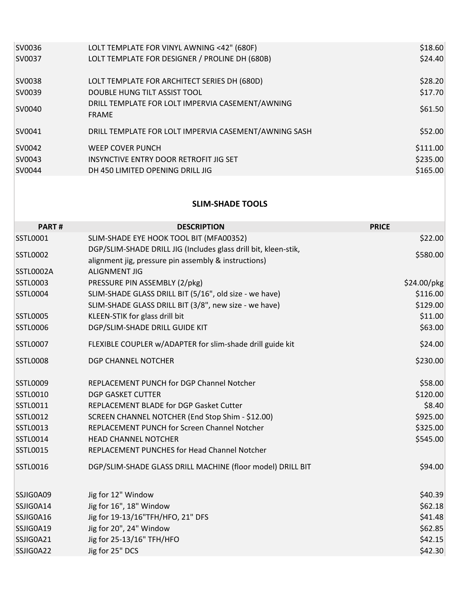| SV0036 | LOLT TEMPLATE FOR VINYL AWNING <42" (680F)                       | \$18.60  |
|--------|------------------------------------------------------------------|----------|
| SV0037 | LOLT TEMPLATE FOR DESIGNER / PROLINE DH (680B)                   | \$24.40  |
| SV0038 | LOLT TEMPLATE FOR ARCHITECT SERIES DH (680D)                     | \$28.20  |
| SV0039 | DOUBLE HUNG TILT ASSIST TOOL                                     | \$17.70  |
| SV0040 | DRILL TEMPLATE FOR LOLT IMPERVIA CASEMENT/AWNING<br><b>FRAME</b> | \$61.50  |
| SV0041 | DRILL TEMPLATE FOR LOLT IMPERVIA CASEMENT/AWNING SASH            | \$52.00  |
| SV0042 | <b>WEEP COVER PUNCH</b>                                          | \$111.00 |
| SV0043 | INSYNCTIVE ENTRY DOOR RETROFIT JIG SET                           | \$235.00 |
| SV0044 | DH 450 LIMITED OPENING DRILL JIG                                 | \$165.00 |
|        |                                                                  |          |

## **SLIM-SHADE TOOLS**

| PART#           | <b>DESCRIPTION</b>                                                                                                      | <b>PRICE</b> |
|-----------------|-------------------------------------------------------------------------------------------------------------------------|--------------|
| <b>SSTL0001</b> | SLIM-SHADE EYE HOOK TOOL BIT (MFA00352)                                                                                 | \$22.00      |
| SSTL0002        | DGP/SLIM-SHADE DRILL JIG (Includes glass drill bit, kleen-stik,<br>alignment jig, pressure pin assembly & instructions) | \$580.00     |
| SSTL0002A       | <b>ALIGNMENT JIG</b>                                                                                                    |              |
| <b>SSTL0003</b> | PRESSURE PIN ASSEMBLY (2/pkg)                                                                                           | \$24.00/pkg  |
| <b>SSTL0004</b> | SLIM-SHADE GLASS DRILL BIT (5/16", old size - we have)                                                                  | \$116.00     |
|                 | SLIM-SHADE GLASS DRILL BIT (3/8", new size - we have)                                                                   | \$129.00     |
| <b>SSTL0005</b> | KLEEN-STIK for glass drill bit                                                                                          | \$11.00      |
| <b>SSTL0006</b> | DGP/SLIM-SHADE DRILL GUIDE KIT                                                                                          | \$63.00      |
| <b>SSTL0007</b> | FLEXIBLE COUPLER w/ADAPTER for slim-shade drill guide kit                                                               | \$24.00      |
| <b>SSTL0008</b> | DGP CHANNEL NOTCHER                                                                                                     | \$230.00     |
| <b>SSTL0009</b> | REPLACEMENT PUNCH for DGP Channel Notcher                                                                               | \$58.00      |
| <b>SSTL0010</b> | <b>DGP GASKET CUTTER</b>                                                                                                | \$120.00     |
| SSTL0011        | REPLACEMENT BLADE for DGP Gasket Cutter                                                                                 | \$8.40       |
| <b>SSTL0012</b> | SCREEN CHANNEL NOTCHER (End Stop Shim - \$12.00)                                                                        | \$925.00     |
| <b>SSTL0013</b> | REPLACEMENT PUNCH for Screen Channel Notcher                                                                            | \$325.00     |
| <b>SSTL0014</b> | <b>HEAD CHANNEL NOTCHER</b>                                                                                             | \$545.00     |
| <b>SSTL0015</b> | REPLACEMENT PUNCHES for Head Channel Notcher                                                                            |              |
| <b>SSTL0016</b> | DGP/SLIM-SHADE GLASS DRILL MACHINE (floor model) DRILL BIT                                                              | \$94.00      |
| SSJIG0A09       | Jig for 12" Window                                                                                                      | \$40.39      |
| SSJIG0A14       | Jig for 16", 18" Window                                                                                                 | \$62.18      |
| SSJIG0A16       | Jig for 19-13/16"TFH/HFO, 21" DFS                                                                                       | \$41.48      |
| SSJIG0A19       | Jig for 20", 24" Window                                                                                                 | \$62.85      |
| SSJIG0A21       | Jig for 25-13/16" TFH/HFO                                                                                               | \$42.15      |
| SSJIG0A22       | Jig for 25" DCS                                                                                                         | \$42.30      |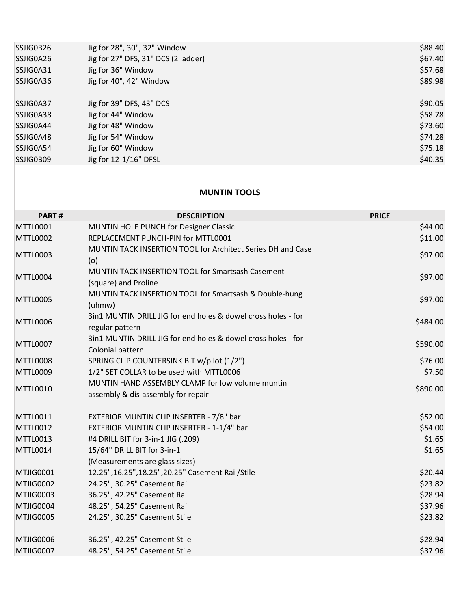| SSJIG0B26       | Jig for 28", 30", 32" Window                                                                      | \$88.40      |
|-----------------|---------------------------------------------------------------------------------------------------|--------------|
| SSJIG0A26       | Jig for 27" DFS, 31" DCS (2 ladder)                                                               | \$67.40      |
| SSJIG0A31       | Jig for 36" Window                                                                                | \$57.68      |
| SSJIG0A36       | Jig for 40", 42" Window                                                                           | \$89.98      |
| SSJIG0A37       | Jig for 39" DFS, 43" DCS                                                                          | \$90.05      |
| SSJIG0A38       | Jig for 44" Window                                                                                | \$58.78      |
| SSJIG0A44       | Jig for 48" Window                                                                                | \$73.60      |
| SSJIG0A48       | Jig for 54" Window                                                                                | \$74.28      |
| SSJIG0A54       | Jig for 60" Window                                                                                | \$75.18      |
| SSJIG0B09       | Jig for 12-1/16" DFSL                                                                             | \$40.35      |
|                 | <b>MUNTIN TOOLS</b>                                                                               |              |
|                 |                                                                                                   |              |
| PART#           | <b>DESCRIPTION</b>                                                                                | <b>PRICE</b> |
| MTTL0001        | MUNTIN HOLE PUNCH for Designer Classic                                                            | \$44.00      |
| <b>MTTL0002</b> | REPLACEMENT PUNCH-PIN for MTTL0001<br>MUNTIN TACK INSERTION TOOL for Architect Series DH and Case | \$11.00      |
| <b>MTTL0003</b> | (o)                                                                                               | \$97.00      |
| MTTL0004        | MUNTIN TACK INSERTION TOOL for Smartsash Casement                                                 | \$97.00      |
|                 | (square) and Proline                                                                              |              |
| <b>MTTL0005</b> | MUNTIN TACK INSERTION TOOL for Smartsash & Double-hung<br>(uhmw)                                  | \$97.00      |
| <b>MTTL0006</b> | 3in1 MUNTIN DRILL JIG for end holes & dowel cross holes - for                                     | \$484.00     |
|                 | regular pattern                                                                                   |              |
| <b>MTTL0007</b> | 3in1 MUNTIN DRILL JIG for end holes & dowel cross holes - for<br>Colonial pattern                 | \$590.00     |
| <b>MTTL0008</b> | SPRING CLIP COUNTERSINK BIT w/pilot (1/2")                                                        | \$76.00      |
| <b>MTTL0009</b> | 1/2" SET COLLAR to be used with MTTL0006                                                          | \$7.50       |
|                 | MUNTIN HAND ASSEMBLY CLAMP for low volume muntin                                                  |              |
| <b>MTTL0010</b> | assembly & dis-assembly for repair                                                                | \$890.00     |
| MTTL0011        | EXTERIOR MUNTIN CLIP INSERTER - 7/8" bar                                                          | \$52.00      |
| MTTL0012        | EXTERIOR MUNTIN CLIP INSERTER - 1-1/4" bar                                                        | \$54.00      |
| MTTL0013        | #4 DRILL BIT for 3-in-1 JIG (.209)                                                                | \$1.65       |
| MTTL0014        | 15/64" DRILL BIT for 3-in-1                                                                       | \$1.65       |
|                 | (Measurements are glass sizes)                                                                    |              |
| MTJIG0001       | 12.25", 16.25", 18.25", 20.25" Casement Rail/Stile                                                | \$20.44      |
| MTJIG0002       | 24.25", 30.25" Casement Rail                                                                      | \$23.82      |
| MTJIG0003       | 36.25", 42.25" Casement Rail                                                                      | \$28.94      |
| MTJIG0004       | 48.25", 54.25" Casement Rail                                                                      | \$37.96      |
| MTJIG0005       | 24.25", 30.25" Casement Stile                                                                     | \$23.82      |
| MTJIG0006       | 36.25", 42.25" Casement Stile                                                                     | \$28.94      |
| MTJIG0007       | 48.25", 54.25" Casement Stile                                                                     | \$37.96      |